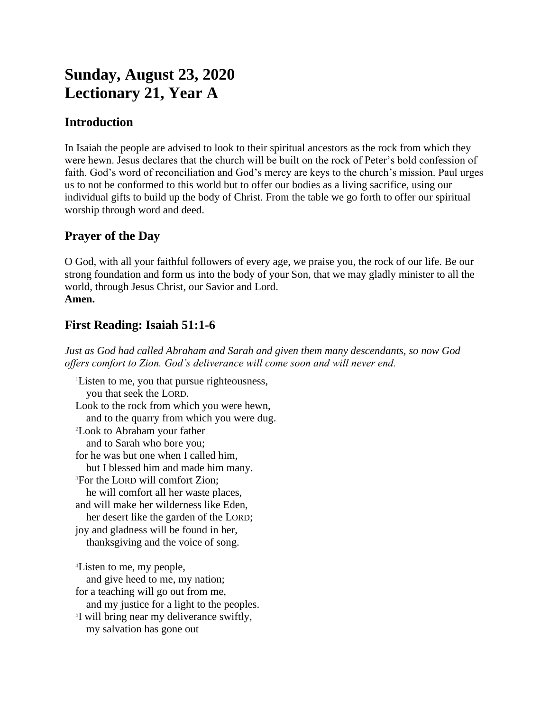# **Sunday, August 23, 2020 Lectionary 21, Year A**

### **Introduction**

In Isaiah the people are advised to look to their spiritual ancestors as the rock from which they were hewn. Jesus declares that the church will be built on the rock of Peter's bold confession of faith. God's word of reconciliation and God's mercy are keys to the church's mission. Paul urges us to not be conformed to this world but to offer our bodies as a living sacrifice, using our individual gifts to build up the body of Christ. From the table we go forth to offer our spiritual worship through word and deed.

### **Prayer of the Day**

O God, with all your faithful followers of every age, we praise you, the rock of our life. Be our strong foundation and form us into the body of your Son, that we may gladly minister to all the world, through Jesus Christ, our Savior and Lord. **Amen.**

# **First Reading: Isaiah 51:1-6**

*Just as God had called Abraham and Sarah and given them many descendants, so now God offers comfort to Zion. God's deliverance will come soon and will never end.*

<sup>1</sup>Listen to me, you that pursue righteousness, you that seek the LORD. Look to the rock from which you were hewn, and to the quarry from which you were dug. <sup>2</sup>Look to Abraham your father and to Sarah who bore you; for he was but one when I called him, but I blessed him and made him many. <sup>3</sup>For the LORD will comfort Zion; he will comfort all her waste places, and will make her wilderness like Eden, her desert like the garden of the LORD; joy and gladness will be found in her, thanksgiving and the voice of song. <sup>4</sup>Listen to me, my people, and give heed to me, my nation;

for a teaching will go out from me, and my justice for a light to the peoples. 5 I will bring near my deliverance swiftly, my salvation has gone out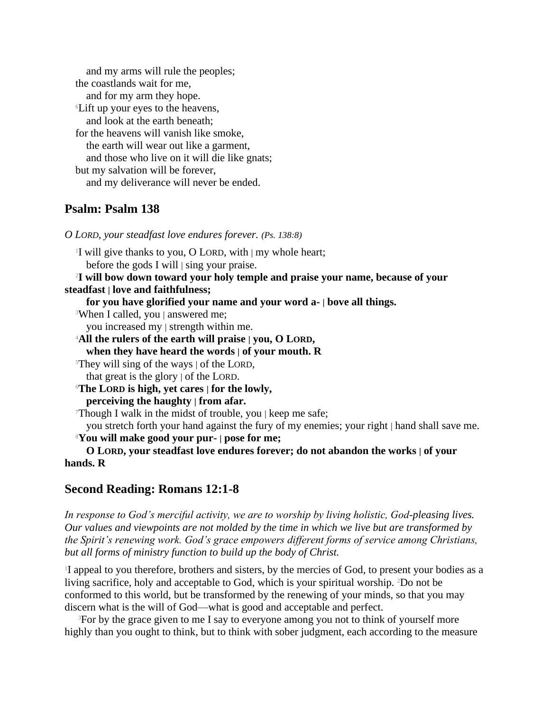and my arms will rule the peoples; the coastlands wait for me, and for my arm they hope. <sup>6</sup>Lift up your eyes to the heavens, and look at the earth beneath; for the heavens will vanish like smoke, the earth will wear out like a garment, and those who live on it will die like gnats; but my salvation will be forever, and my deliverance will never be ended.

### **Psalm: Psalm 138**

|  | O LORD, your steadfast love endures forever. (Ps. 138:8) |  |  |  |
|--|----------------------------------------------------------|--|--|--|
|  |                                                          |  |  |  |

1 I will give thanks to you, O LORD, with | my whole heart; before the gods I will | sing your praise.

<sup>2</sup>**I will bow down toward your holy temple and praise your name, because of your steadfast | love and faithfulness;**

**for you have glorified your name and your word a- | bove all things.**

<sup>3</sup>When I called, you | answered me;

you increased my | strength within me.

<sup>4</sup>**All the rulers of the earth will praise | you, O LORD, when they have heard the words | of your mouth. R**

 $5$ They will sing of the ways  $\vert$  of the LORD,

that great is the glory | of the LORD.

<sup>6</sup>**The LORD is high, yet cares | for the lowly,**

**perceiving the haughty | from afar.**

<sup>7</sup>Though I walk in the midst of trouble, you | keep me safe;

you stretch forth your hand against the fury of my enemies; your right | hand shall save me. <sup>8</sup>**You will make good your pur- | pose for me;**

**O LORD, your steadfast love endures forever; do not abandon the works | of your hands. R**

#### **Second Reading: Romans 12:1-8**

*In response to God's merciful activity, we are to worship by living holistic, God-pleasing lives. Our values and viewpoints are not molded by the time in which we live but are transformed by the Spirit's renewing work. God's grace empowers different forms of service among Christians, but all forms of ministry function to build up the body of Christ.*

1 I appeal to you therefore, brothers and sisters, by the mercies of God, to present your bodies as a living sacrifice, holy and acceptable to God, which is your spiritual worship. 2Do not be conformed to this world, but be transformed by the renewing of your minds, so that you may discern what is the will of God—what is good and acceptable and perfect.

<sup>3</sup>For by the grace given to me I say to everyone among you not to think of yourself more highly than you ought to think, but to think with sober judgment, each according to the measure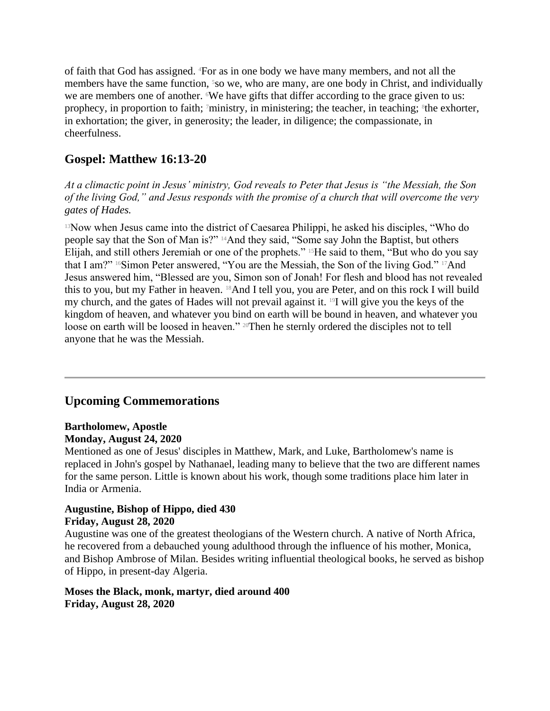of faith that God has assigned. 4For as in one body we have many members, and not all the members have the same function,  $5s$  we, who are many, are one body in Christ, and individually we are members one of another. We have gifts that differ according to the grace given to us: prophecy, in proportion to faith; 'ministry, in ministering; the teacher, in teaching; <sup>8</sup>the exhorter, in exhortation; the giver, in generosity; the leader, in diligence; the compassionate, in cheerfulness.

## **Gospel: Matthew 16:13-20**

*At a climactic point in Jesus' ministry, God reveals to Peter that Jesus is "the Messiah, the Son of the living God," and Jesus responds with the promise of a church that will overcome the very gates of Hades.*

 $13$ Now when Jesus came into the district of Caesarea Philippi, he asked his disciples, "Who do people say that the Son of Man is?" 14And they said, "Some say John the Baptist, but others Elijah, and still others Jeremiah or one of the prophets." 15He said to them, "But who do you say that I am?" <sup>16</sup>Simon Peter answered, "You are the Messiah, the Son of the living God." <sup>17</sup>And Jesus answered him, "Blessed are you, Simon son of Jonah! For flesh and blood has not revealed this to you, but my Father in heaven. 18And I tell you, you are Peter, and on this rock I will build my church, and the gates of Hades will not prevail against it. 19I will give you the keys of the kingdom of heaven, and whatever you bind on earth will be bound in heaven, and whatever you loose on earth will be loosed in heaven." <sup>20</sup>Then he sternly ordered the disciples not to tell anyone that he was the Messiah.

### **Upcoming Commemorations**

#### **Bartholomew, Apostle Monday, August 24, 2020**

Mentioned as one of Jesus' disciples in Matthew, Mark, and Luke, Bartholomew's name is replaced in John's gospel by Nathanael, leading many to believe that the two are different names for the same person. Little is known about his work, though some traditions place him later in India or Armenia.

#### **Augustine, Bishop of Hippo, died 430 Friday, August 28, 2020**

Augustine was one of the greatest theologians of the Western church. A native of North Africa, he recovered from a debauched young adulthood through the influence of his mother, Monica, and Bishop Ambrose of Milan. Besides writing influential theological books, he served as bishop of Hippo, in present-day Algeria.

#### **Moses the Black, monk, martyr, died around 400 Friday, August 28, 2020**